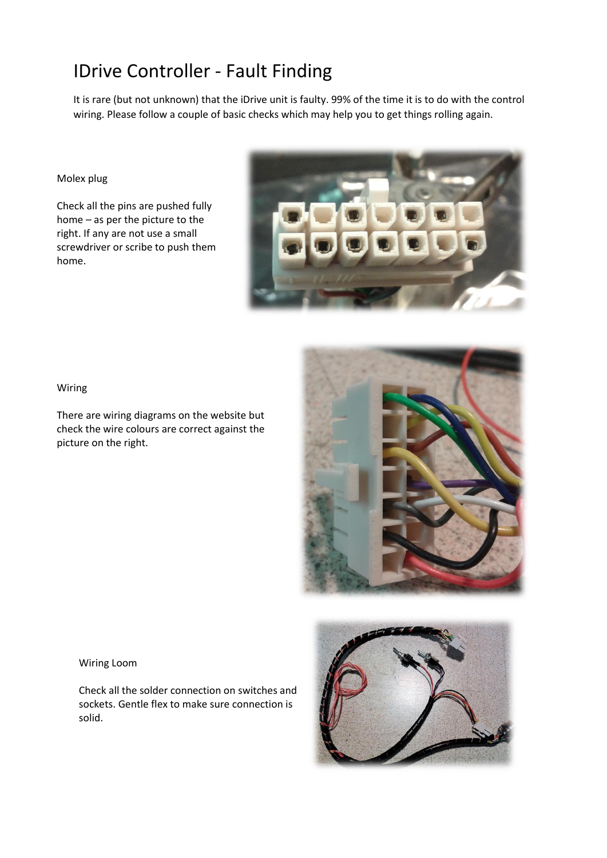## IDrive Controller - Fault Finding

It is rare (but not unknown) that the iDrive unit is faulty. 99% of the time it is to do with the control wiring. Please follow a couple of basic checks which may help you to get things rolling again.

## Molex plug

Check all the pins are pushed fully home – as per the picture to the right. If any are not use a small screwdriver or scribe to push them home.



Wiring

There are wiring diagrams on the website but check the wire colours are correct against the picture on the right.



Wiring Loom

Check all the solder connection on switches and sockets. Gentle flex to make sure connection is solid.